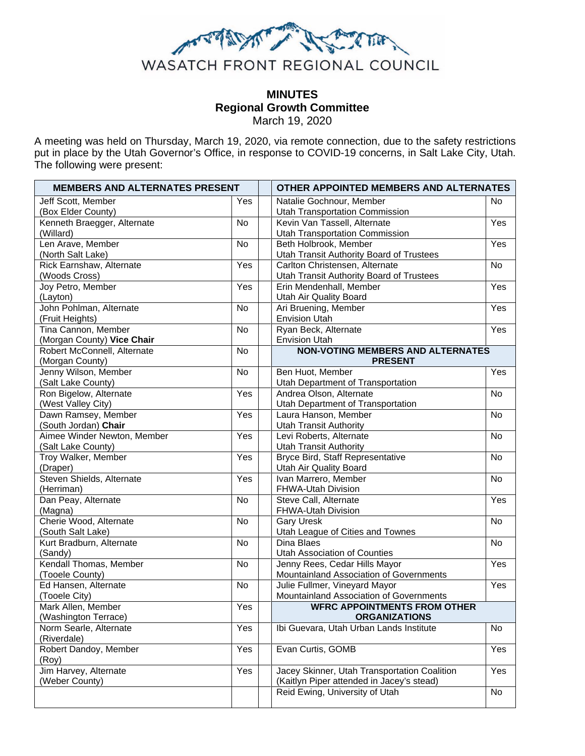

# **MINUTES Regional Growth Committee**  March 19, 2020

A meeting was held on Thursday, March 19, 2020, via remote connection, due to the safety restrictions put in place by the Utah Governor's Office, in response to COVID-19 concerns, in Salt Lake City, Utah. The following were present:

| <b>MEMBERS AND ALTERNATES PRESENT</b> |                   | OTHER APPOINTED MEMBERS AND ALTERNATES          |           |
|---------------------------------------|-------------------|-------------------------------------------------|-----------|
| Jeff Scott, Member                    | Yes               | Natalie Gochnour, Member                        | <b>No</b> |
| (Box Elder County)                    |                   | <b>Utah Transportation Commission</b>           |           |
| Kenneth Braegger, Alternate           | No                | Kevin Van Tassell, Alternate                    | Yes       |
| (Willard)                             |                   | <b>Utah Transportation Commission</b>           |           |
| Len Arave, Member                     | No                | Beth Holbrook, Member                           | Yes       |
| (North Salt Lake)                     |                   | Utah Transit Authority Board of Trustees        |           |
| Rick Earnshaw, Alternate              | Yes               | Carlton Christensen, Alternate                  | No        |
| (Woods Cross)                         |                   | <b>Utah Transit Authority Board of Trustees</b> |           |
| Joy Petro, Member                     | Yes               | Erin Mendenhall, Member                         | Yes       |
| (Layton)                              |                   | Utah Air Quality Board                          |           |
| John Pohlman, Alternate               | No                | Ari Bruening, Member                            | Yes       |
| (Fruit Heights)                       |                   | <b>Envision Utah</b>                            |           |
| Tina Cannon, Member                   | <b>No</b>         | Ryan Beck, Alternate                            | Yes       |
| (Morgan County) Vice Chair            |                   | <b>Envision Utah</b>                            |           |
| Robert McConnell, Alternate           | <b>No</b>         | <b>NON-VOTING MEMBERS AND ALTERNATES</b>        |           |
| (Morgan County)                       |                   | <b>PRESENT</b>                                  |           |
| Jenny Wilson, Member                  | <b>No</b>         | Ben Huot, Member                                | Yes       |
| (Salt Lake County)                    |                   | Utah Department of Transportation               |           |
| Ron Bigelow, Alternate                | Yes               | Andrea Olson, Alternate                         | No        |
| (West Valley City)                    |                   | Utah Department of Transportation               |           |
| Dawn Ramsey, Member                   | Yes               | Laura Hanson, Member                            | <b>No</b> |
| (South Jordan) Chair                  |                   | <b>Utah Transit Authority</b>                   |           |
| Aimee Winder Newton, Member           | Yes               | Levi Roberts, Alternate                         | <b>No</b> |
| (Salt Lake County)                    |                   | <b>Utah Transit Authority</b>                   |           |
| Troy Walker, Member                   | Yes               | Bryce Bird, Staff Representative                | No        |
| (Draper)                              |                   | Utah Air Quality Board                          |           |
| Steven Shields, Alternate             | $\overline{Y}$ es | Ivan Marrero, Member                            | <b>No</b> |
| (Herriman)                            | <b>No</b>         | FHWA-Utah Division<br>Steve Call, Alternate     | Yes       |
| Dan Peay, Alternate<br>(Magna)        |                   | FHWA-Utah Division                              |           |
| Cherie Wood, Alternate                | <b>No</b>         | <b>Gary Uresk</b>                               | No        |
| (South Salt Lake)                     |                   | Utah League of Cities and Townes                |           |
| Kurt Bradburn, Alternate              | <b>No</b>         | Dina Blaes                                      | <b>No</b> |
| (Sandy)                               |                   | Utah Association of Counties                    |           |
| Kendall Thomas, Member                | <b>No</b>         | Jenny Rees, Cedar Hills Mayor                   | Yes       |
| (Tooele County)                       |                   | Mountainland Association of Governments         |           |
| Ed Hansen, Alternate                  | No                | Julie Fullmer, Vineyard Mayor                   | Yes       |
| (Tooele City)                         |                   | Mountainland Association of Governments         |           |
| Mark Allen, Member                    | Yes               | <b>WFRC APPOINTMENTS FROM OTHER</b>             |           |
| (Washington Terrace)                  |                   | <b>ORGANIZATIONS</b>                            |           |
| Norm Searle, Alternate                | Yes               | Ibi Guevara, Utah Urban Lands Institute         | No        |
| (Riverdale)                           |                   |                                                 |           |
| Robert Dandoy, Member                 | $\overline{Y}$ es | Evan Curtis, GOMB                               | Yes       |
| (Roy)                                 |                   |                                                 |           |
| Jim Harvey, Alternate                 | Yes               | Jacey Skinner, Utah Transportation Coalition    | Yes       |
| (Weber County)                        |                   | (Kaitlyn Piper attended in Jacey's stead)       |           |
|                                       |                   | Reid Ewing, University of Utah                  | No        |
|                                       |                   |                                                 |           |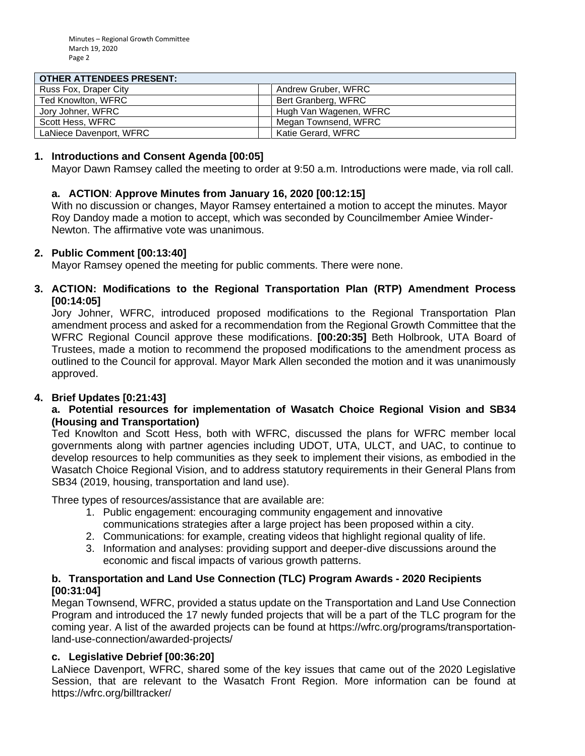#### **OTHER ATTENDEES PRESENT.**

| <u>UIHER AI IENDEES FRESENT.</u> |                        |
|----------------------------------|------------------------|
| Russ Fox, Draper City            | Andrew Gruber, WFRC    |
| Ted Knowlton, WFRC               | Bert Granberg, WFRC    |
| Jory Johner, WFRC                | Hugh Van Wagenen, WFRC |
| Scott Hess, WFRC                 | Megan Townsend, WFRC   |
| LaNiece Davenport, WFRC          | Katie Gerard, WFRC     |

#### **1. Introductions and Consent Agenda [00:05]**

Mayor Dawn Ramsey called the meeting to order at 9:50 a.m. Introductions were made, via roll call.

# **a. ACTION**: **Approve Minutes from January 16, 2020 [00:12:15]**

With no discussion or changes, Mayor Ramsey entertained a motion to accept the minutes. Mayor Roy Dandoy made a motion to accept, which was seconded by Councilmember Amiee Winder-Newton. The affirmative vote was unanimous.

#### **2. Public Comment [00:13:40]**

Mayor Ramsey opened the meeting for public comments. There were none.

#### **3. ACTION: Modifications to the Regional Transportation Plan (RTP) Amendment Process [00:14:05]**

Jory Johner, WFRC, introduced proposed modifications to the Regional Transportation Plan amendment process and asked for a recommendation from the Regional Growth Committee that the WFRC Regional Council approve these modifications. **[00:20:35]** Beth Holbrook, UTA Board of Trustees, made a motion to recommend the proposed modifications to the amendment process as outlined to the Council for approval. Mayor Mark Allen seconded the motion and it was unanimously approved.

# **4. Brief Updates [0:21:43]**

#### **a. Potential resources for implementation of Wasatch Choice Regional Vision and SB34 (Housing and Transportation)**

Ted Knowlton and Scott Hess, both with WFRC, discussed the plans for WFRC member local governments along with partner agencies including UDOT, UTA, ULCT, and UAC, to continue to develop resources to help communities as they seek to implement their visions, as embodied in the Wasatch Choice Regional Vision, and to address statutory requirements in their General Plans from SB34 (2019, housing, transportation and land use).

Three types of resources/assistance that are available are:

- 1. Public engagement: encouraging community engagement and innovative communications strategies after a large project has been proposed within a city.
- 2. Communications: for example, creating videos that highlight regional quality of life.
- 3. Information and analyses: providing support and deeper-dive discussions around the economic and fiscal impacts of various growth patterns.

# **b. Transportation and Land Use Connection (TLC) Program Awards - 2020 Recipients [00:31:04]**

Megan Townsend, WFRC, provided a status update on the Transportation and Land Use Connection Program and introduced the 17 newly funded projects that will be a part of the TLC program for the coming year. A list of the awarded projects can be found at https://wfrc.org/programs/transportationland-use-connection/awarded-projects/

# **c. Legislative Debrief [00:36:20]**

LaNiece Davenport, WFRC, shared some of the key issues that came out of the 2020 Legislative Session, that are relevant to the Wasatch Front Region. More information can be found at https://wfrc.org/billtracker/